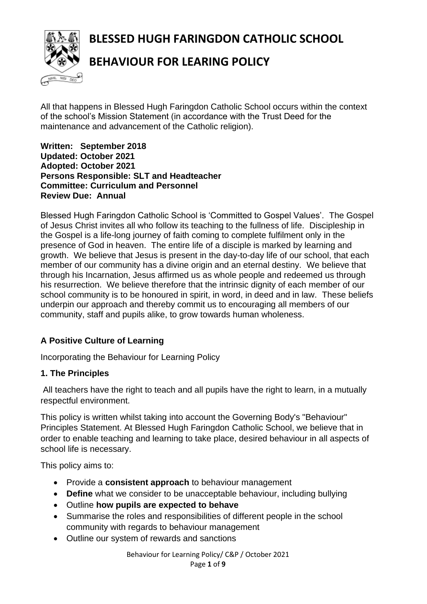**BLESSED HUGH FARINGDON CATHOLIC SCHOOL**



# **BEHAVIOUR FOR LEARING POLICY**

All that happens in Blessed Hugh Faringdon Catholic School occurs within the context of the school's Mission Statement (in accordance with the Trust Deed for the maintenance and advancement of the Catholic religion).

**Written: September 2018 Updated: October 2021 Adopted: October 2021 Persons Responsible: SLT and Headteacher Committee: Curriculum and Personnel Review Due: Annual**

Blessed Hugh Faringdon Catholic School is 'Committed to Gospel Values'. The Gospel of Jesus Christ invites all who follow its teaching to the fullness of life. Discipleship in the Gospel is a life-long journey of faith coming to complete fulfilment only in the presence of God in heaven. The entire life of a disciple is marked by learning and growth. We believe that Jesus is present in the day-to-day life of our school, that each member of our community has a divine origin and an eternal destiny. We believe that through his Incarnation, Jesus affirmed us as whole people and redeemed us through his resurrection. We believe therefore that the intrinsic dignity of each member of our school community is to be honoured in spirit, in word, in deed and in law. These beliefs underpin our approach and thereby commit us to encouraging all members of our community, staff and pupils alike, to grow towards human wholeness.

## **A Positive Culture of Learning**

Incorporating the Behaviour for Learning Policy

#### **1. The Principles**

All teachers have the right to teach and all pupils have the right to learn, in a mutually respectful environment.

This policy is written whilst taking into account the Governing Body's "Behaviour" Principles Statement. At Blessed Hugh Faringdon Catholic School, we believe that in order to enable teaching and learning to take place, desired behaviour in all aspects of school life is necessary.

This policy aims to:

- Provide a **consistent approach** to behaviour management
- **Define** what we consider to be unacceptable behaviour, including bullying
- Outline **how pupils are expected to behave**
- Summarise the roles and responsibilities of different people in the school community with regards to behaviour management
- Outline our system of rewards and sanctions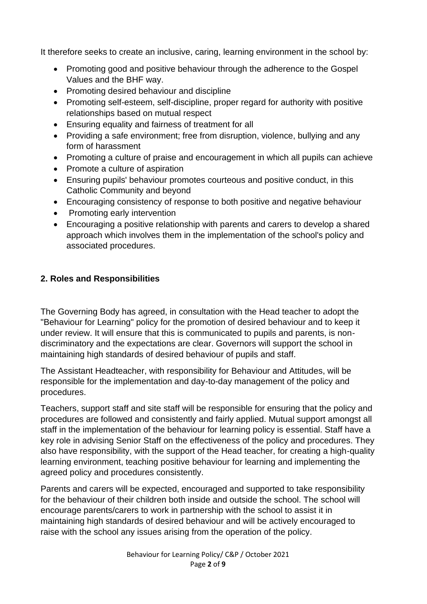It therefore seeks to create an inclusive, caring, learning environment in the school by:

- Promoting good and positive behaviour through the adherence to the Gospel Values and the BHF way.
- Promoting desired behaviour and discipline
- Promoting self-esteem, self-discipline, proper regard for authority with positive relationships based on mutual respect
- Ensuring equality and fairness of treatment for all
- Providing a safe environment; free from disruption, violence, bullying and any form of harassment
- Promoting a culture of praise and encouragement in which all pupils can achieve
- Promote a culture of aspiration
- Ensuring pupils' behaviour promotes courteous and positive conduct, in this Catholic Community and beyond
- Encouraging consistency of response to both positive and negative behaviour
- Promoting early intervention
- Encouraging a positive relationship with parents and carers to develop a shared approach which involves them in the implementation of the school's policy and associated procedures.

#### **2. Roles and Responsibilities**

The Governing Body has agreed, in consultation with the Head teacher to adopt the "Behaviour for Learning" policy for the promotion of desired behaviour and to keep it under review. It will ensure that this is communicated to pupils and parents, is nondiscriminatory and the expectations are clear. Governors will support the school in maintaining high standards of desired behaviour of pupils and staff.

The Assistant Headteacher, with responsibility for Behaviour and Attitudes, will be responsible for the implementation and day-to-day management of the policy and procedures.

Teachers, support staff and site staff will be responsible for ensuring that the policy and procedures are followed and consistently and fairly applied. Mutual support amongst all staff in the implementation of the behaviour for learning policy is essential. Staff have a key role in advising Senior Staff on the effectiveness of the policy and procedures. They also have responsibility, with the support of the Head teacher, for creating a high-quality learning environment, teaching positive behaviour for learning and implementing the agreed policy and procedures consistently.

Parents and carers will be expected, encouraged and supported to take responsibility for the behaviour of their children both inside and outside the school. The school will encourage parents/carers to work in partnership with the school to assist it in maintaining high standards of desired behaviour and will be actively encouraged to raise with the school any issues arising from the operation of the policy.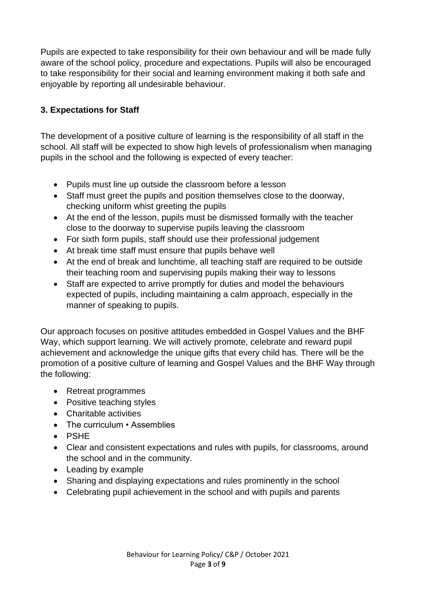Pupils are expected to take responsibility for their own behaviour and will be made fully aware of the school policy, procedure and expectations. Pupils will also be encouraged to take responsibility for their social and learning environment making it both safe and enjoyable by reporting all undesirable behaviour.

## **3. Expectations for Staff**

The development of a positive culture of learning is the responsibility of all staff in the school. All staff will be expected to show high levels of professionalism when managing pupils in the school and the following is expected of every teacher:

- Pupils must line up outside the classroom before a lesson
- Staff must greet the pupils and position themselves close to the doorway, checking uniform whist greeting the pupils
- At the end of the lesson, pupils must be dismissed formally with the teacher close to the doorway to supervise pupils leaving the classroom
- For sixth form pupils, staff should use their professional judgement
- At break time staff must ensure that pupils behave well
- At the end of break and lunchtime, all teaching staff are required to be outside their teaching room and supervising pupils making their way to lessons
- Staff are expected to arrive promptly for duties and model the behaviours expected of pupils, including maintaining a calm approach, especially in the manner of speaking to pupils.

Our approach focuses on positive attitudes embedded in Gospel Values and the BHF Way, which support learning. We will actively promote, celebrate and reward pupil achievement and acknowledge the unique gifts that every child has. There will be the promotion of a positive culture of learning and Gospel Values and the BHF Way through the following:

- Retreat programmes
- Positive teaching styles
- Charitable activities
- The curriculum Assemblies
- PSHE
- Clear and consistent expectations and rules with pupils, for classrooms, around the school and in the community.
- Leading by example
- Sharing and displaying expectations and rules prominently in the school
- Celebrating pupil achievement in the school and with pupils and parents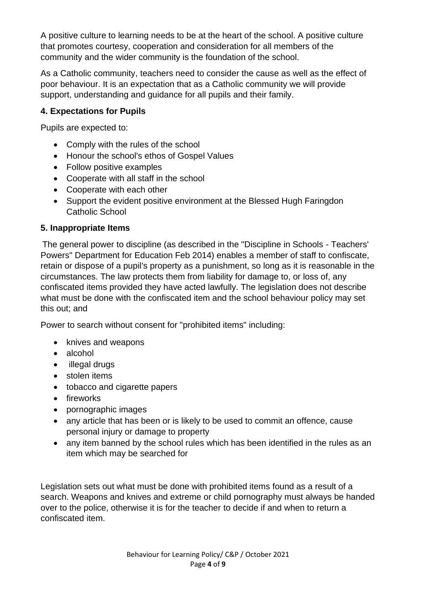A positive culture to learning needs to be at the heart of the school. A positive culture that promotes courtesy, cooperation and consideration for all members of the community and the wider community is the foundation of the school.

As a Catholic community, teachers need to consider the cause as well as the effect of poor behaviour. It is an expectation that as a Catholic community we will provide support, understanding and guidance for all pupils and their family.

#### **4. Expectations for Pupils**

Pupils are expected to:

- Comply with the rules of the school
- Honour the school's ethos of Gospel Values
- Follow positive examples
- Cooperate with all staff in the school
- Cooperate with each other
- Support the evident positive environment at the Blessed Hugh Faringdon Catholic School

#### **5. Inappropriate Items**

The general power to discipline (as described in the "Discipline in Schools - Teachers' Powers" Department for Education Feb 2014) enables a member of staff to confiscate, retain or dispose of a pupil's property as a punishment, so long as it is reasonable in the circumstances. The law protects them from liability for damage to, or loss of, any confiscated items provided they have acted lawfully. The legislation does not describe what must be done with the confiscated item and the school behaviour policy may set this out; and

Power to search without consent for "prohibited items" including:

- knives and weapons
- alcohol
- illegal drugs
- stolen items
- tobacco and cigarette papers
- fireworks
- pornographic images
- any article that has been or is likely to be used to commit an offence, cause personal injury or damage to property
- any item banned by the school rules which has been identified in the rules as an item which may be searched for

Legislation sets out what must be done with prohibited items found as a result of a search. Weapons and knives and extreme or child pornography must always be handed over to the police, otherwise it is for the teacher to decide if and when to return a confiscated item.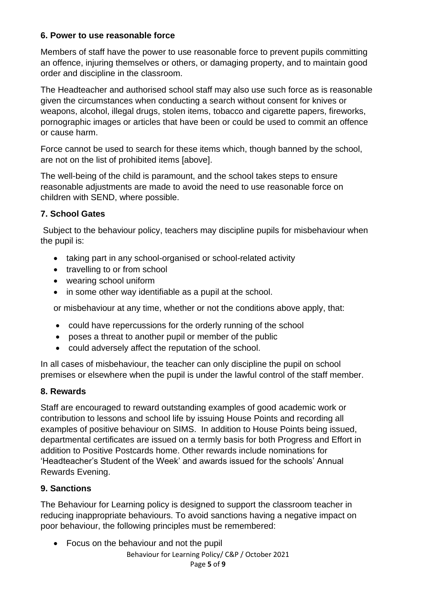#### **6. Power to use reasonable force**

Members of staff have the power to use reasonable force to prevent pupils committing an offence, injuring themselves or others, or damaging property, and to maintain good order and discipline in the classroom.

The Headteacher and authorised school staff may also use such force as is reasonable given the circumstances when conducting a search without consent for knives or weapons, alcohol, illegal drugs, stolen items, tobacco and cigarette papers, fireworks, pornographic images or articles that have been or could be used to commit an offence or cause harm.

Force cannot be used to search for these items which, though banned by the school, are not on the list of prohibited items [above].

The well-being of the child is paramount, and the school takes steps to ensure reasonable adjustments are made to avoid the need to use reasonable force on children with SEND, where possible.

## **7. School Gates**

Subject to the behaviour policy, teachers may discipline pupils for misbehaviour when the pupil is:

- taking part in any school-organised or school-related activity
- travelling to or from school
- wearing school uniform
- in some other way identifiable as a pupil at the school.

or misbehaviour at any time, whether or not the conditions above apply, that:

- could have repercussions for the orderly running of the school
- poses a threat to another pupil or member of the public
- could adversely affect the reputation of the school.

In all cases of misbehaviour, the teacher can only discipline the pupil on school premises or elsewhere when the pupil is under the lawful control of the staff member.

#### **8. Rewards**

Staff are encouraged to reward outstanding examples of good academic work or contribution to lessons and school life by issuing House Points and recording all examples of positive behaviour on SIMS. In addition to House Points being issued, departmental certificates are issued on a termly basis for both Progress and Effort in addition to Positive Postcards home. Other rewards include nominations for 'Headteacher's Student of the Week' and awards issued for the schools' Annual Rewards Evening.

#### **9. Sanctions**

The Behaviour for Learning policy is designed to support the classroom teacher in reducing inappropriate behaviours. To avoid sanctions having a negative impact on poor behaviour, the following principles must be remembered:

• Focus on the behaviour and not the pupil

Behaviour for Learning Policy/ C&P / October 2021 Page **5** of **9**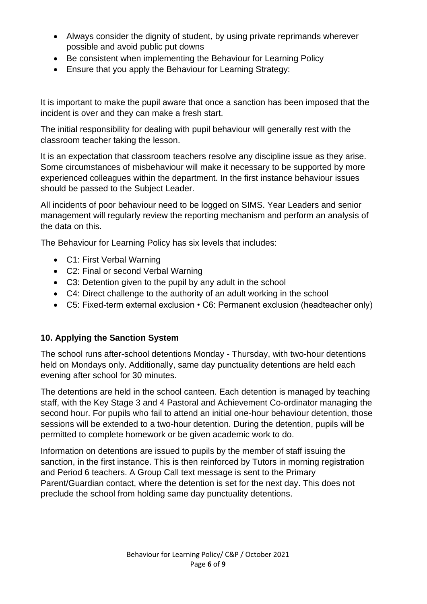- Always consider the dignity of student, by using private reprimands wherever possible and avoid public put downs
- Be consistent when implementing the Behaviour for Learning Policy
- Ensure that you apply the Behaviour for Learning Strategy:

It is important to make the pupil aware that once a sanction has been imposed that the incident is over and they can make a fresh start.

The initial responsibility for dealing with pupil behaviour will generally rest with the classroom teacher taking the lesson.

It is an expectation that classroom teachers resolve any discipline issue as they arise. Some circumstances of misbehaviour will make it necessary to be supported by more experienced colleagues within the department. In the first instance behaviour issues should be passed to the Subject Leader.

All incidents of poor behaviour need to be logged on SIMS. Year Leaders and senior management will regularly review the reporting mechanism and perform an analysis of the data on this.

The Behaviour for Learning Policy has six levels that includes:

- C1: First Verbal Warning
- C2: Final or second Verbal Warning
- C3: Detention given to the pupil by any adult in the school
- C4: Direct challenge to the authority of an adult working in the school
- C5: Fixed-term external exclusion C6: Permanent exclusion (headteacher only)

#### **10. Applying the Sanction System**

The school runs after-school detentions Monday - Thursday, with two-hour detentions held on Mondays only. Additionally, same day punctuality detentions are held each evening after school for 30 minutes.

The detentions are held in the school canteen. Each detention is managed by teaching staff, with the Key Stage 3 and 4 Pastoral and Achievement Co-ordinator managing the second hour. For pupils who fail to attend an initial one-hour behaviour detention, those sessions will be extended to a two-hour detention. During the detention, pupils will be permitted to complete homework or be given academic work to do.

Information on detentions are issued to pupils by the member of staff issuing the sanction, in the first instance. This is then reinforced by Tutors in morning registration and Period 6 teachers. A Group Call text message is sent to the Primary Parent/Guardian contact, where the detention is set for the next day. This does not preclude the school from holding same day punctuality detentions.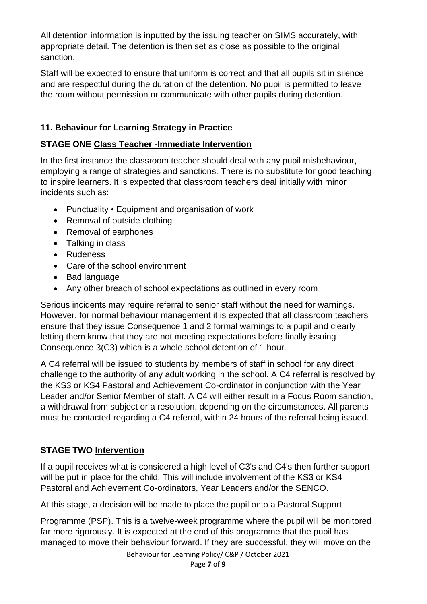All detention information is inputted by the issuing teacher on SIMS accurately, with appropriate detail. The detention is then set as close as possible to the original sanction.

Staff will be expected to ensure that uniform is correct and that all pupils sit in silence and are respectful during the duration of the detention. No pupil is permitted to leave the room without permission or communicate with other pupils during detention.

## **11. Behaviour for Learning Strategy in Practice**

#### **STAGE ONE Class Teacher -Immediate Intervention**

In the first instance the classroom teacher should deal with any pupil misbehaviour, employing a range of strategies and sanctions. There is no substitute for good teaching to inspire learners. It is expected that classroom teachers deal initially with minor incidents such as:

- Punctuality Equipment and organisation of work
- Removal of outside clothing
- Removal of earphones
- Talking in class
- Rudeness
- Care of the school environment
- Bad language
- Any other breach of school expectations as outlined in every room

Serious incidents may require referral to senior staff without the need for warnings. However, for normal behaviour management it is expected that all classroom teachers ensure that they issue Consequence 1 and 2 formal warnings to a pupil and clearly letting them know that they are not meeting expectations before finally issuing Consequence 3(C3) which is a whole school detention of 1 hour.

A C4 referral will be issued to students by members of staff in school for any direct challenge to the authority of any adult working in the school. A C4 referral is resolved by the KS3 or KS4 Pastoral and Achievement Co-ordinator in conjunction with the Year Leader and/or Senior Member of staff. A C4 will either result in a Focus Room sanction, a withdrawal from subject or a resolution, depending on the circumstances. All parents must be contacted regarding a C4 referral, within 24 hours of the referral being issued.

## **STAGE TWO Intervention**

If a pupil receives what is considered a high level of C3's and C4's then further support will be put in place for the child. This will include involvement of the KS3 or KS4 Pastoral and Achievement Co-ordinators, Year Leaders and/or the SENCO.

At this stage, a decision will be made to place the pupil onto a Pastoral Support

Programme (PSP). This is a twelve-week programme where the pupil will be monitored far more rigorously. It is expected at the end of this programme that the pupil has managed to move their behaviour forward. If they are successful, they will move on the

Behaviour for Learning Policy/ C&P / October 2021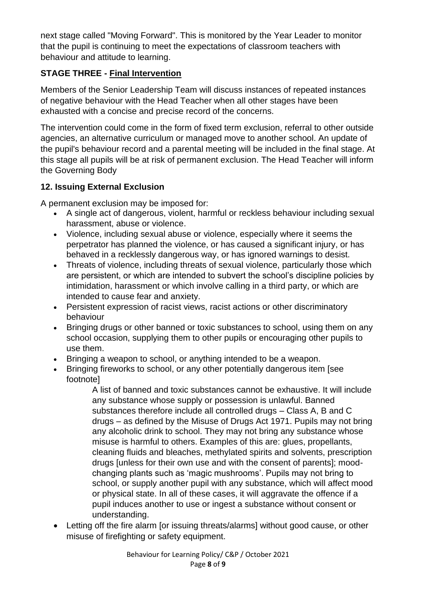next stage called "Moving Forward". This is monitored by the Year Leader to monitor that the pupil is continuing to meet the expectations of classroom teachers with behaviour and attitude to learning.

# **STAGE THREE - Final Intervention**

Members of the Senior Leadership Team will discuss instances of repeated instances of negative behaviour with the Head Teacher when all other stages have been exhausted with a concise and precise record of the concerns.

The intervention could come in the form of fixed term exclusion, referral to other outside agencies, an alternative curriculum or managed move to another school. An update of the pupil's behaviour record and a parental meeting will be included in the final stage. At this stage all pupils will be at risk of permanent exclusion. The Head Teacher will inform the Governing Body

## **12. Issuing External Exclusion**

A permanent exclusion may be imposed for:

- A single act of dangerous, violent, harmful or reckless behaviour including sexual harassment, abuse or violence.
- Violence, including sexual abuse or violence, especially where it seems the perpetrator has planned the violence, or has caused a significant injury, or has behaved in a recklessly dangerous way, or has ignored warnings to desist.
- Threats of violence, including threats of sexual violence, particularly those which are persistent, or which are intended to subvert the school's discipline policies by intimidation, harassment or which involve calling in a third party, or which are intended to cause fear and anxiety.
- Persistent expression of racist views, racist actions or other discriminatory behaviour
- Bringing drugs or other banned or toxic substances to school, using them on any school occasion, supplying them to other pupils or encouraging other pupils to use them.
- Bringing a weapon to school, or anything intended to be a weapon.
- Bringing fireworks to school, or any other potentially dangerous item [see footnote]

A list of banned and toxic substances cannot be exhaustive. It will include any substance whose supply or possession is unlawful. Banned substances therefore include all controlled drugs – Class A, B and C drugs – as defined by the Misuse of Drugs Act 1971. Pupils may not bring any alcoholic drink to school. They may not bring any substance whose misuse is harmful to others. Examples of this are: glues, propellants, cleaning fluids and bleaches, methylated spirits and solvents, prescription drugs [unless for their own use and with the consent of parents]; moodchanging plants such as 'magic mushrooms'. Pupils may not bring to school, or supply another pupil with any substance, which will affect mood or physical state. In all of these cases, it will aggravate the offence if a pupil induces another to use or ingest a substance without consent or understanding.

• Letting off the fire alarm [or issuing threats/alarms] without good cause, or other misuse of firefighting or safety equipment.